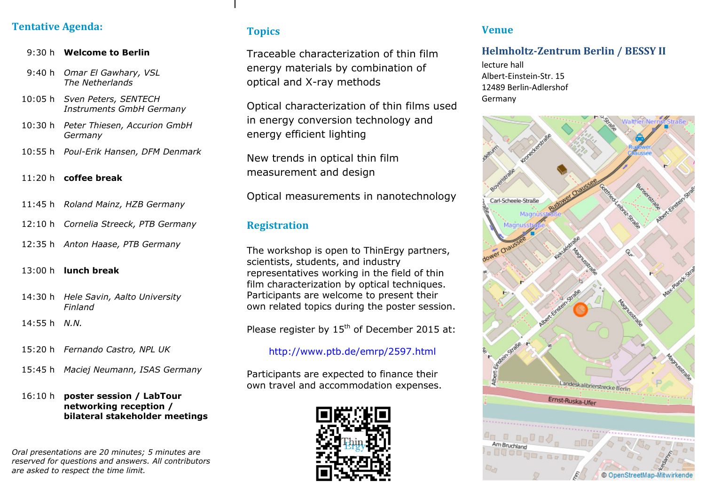## **Tentative Agenda:**

#### 9:30 h **Welcome to Berlin**

- 9:40 h *Omar El Gawhary, VSL The Netherlands*
- 10:05 h *Sven Peters, SENTECH Instruments GmbH Germany*
- 10:30 h *Peter Thiesen, Accurion GmbH Germany*
- 10:55 h *Poul-Erik Hansen, DFM Denmark*

# 11:20 h **coffee break**

- 11:45 h *Roland Mainz, HZB Germany*
- 12:10 h *Cornelia Streeck, PTB Germany*
- 12:35 h *Anton Haase, PTB Germany*

## 13:00 h **lunch break**

- 14:30 h *Hele Savin, Aalto University Finland*
- 14:55 h *N.N.*
- 15:20 h *Fernando Castro, NPL UK*
- 15:45 h *Maciej Neumann, ISAS Germany*

#### 16:10 h **poster session / LabTour networking reception / bilateral stakeholder meetings**

*Oral presentations are 20 minutes; 5 minutes are reserved for questions and answers. All contributors are asked to respect the time limit.*

#### **Topics**s

Traceable characterization of thin film energy materials by combination of optical and X-ray methods

Optical characterization of thin films used in energy conversion technology and energy efficient lighting

New trends in optical thin film measurement and design

Optical measurements in nanotechnology

#### **Registration**

 The workshop is open to ThinErgy partners, scientists, students, and industry representatives working in the field of thin film characterization by optical techniques.Participants are welcome to present their own related topics during the poster session.

Please register by 15<sup>th</sup> of December 2015 at:

#### http://www.ptb.de/emrp/2597.html

Participants are expected to finance their own travel and accommodation expenses.



#### **Venue**

#### **Helmholtz-Zentrum Berlin / BESSY II**

lecture hall Albert-Einstein-Str. 15 12489 Berlin-Adlershof Germany